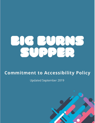

## **Commitment to Accessibility Policy**

**Updated September 2019**